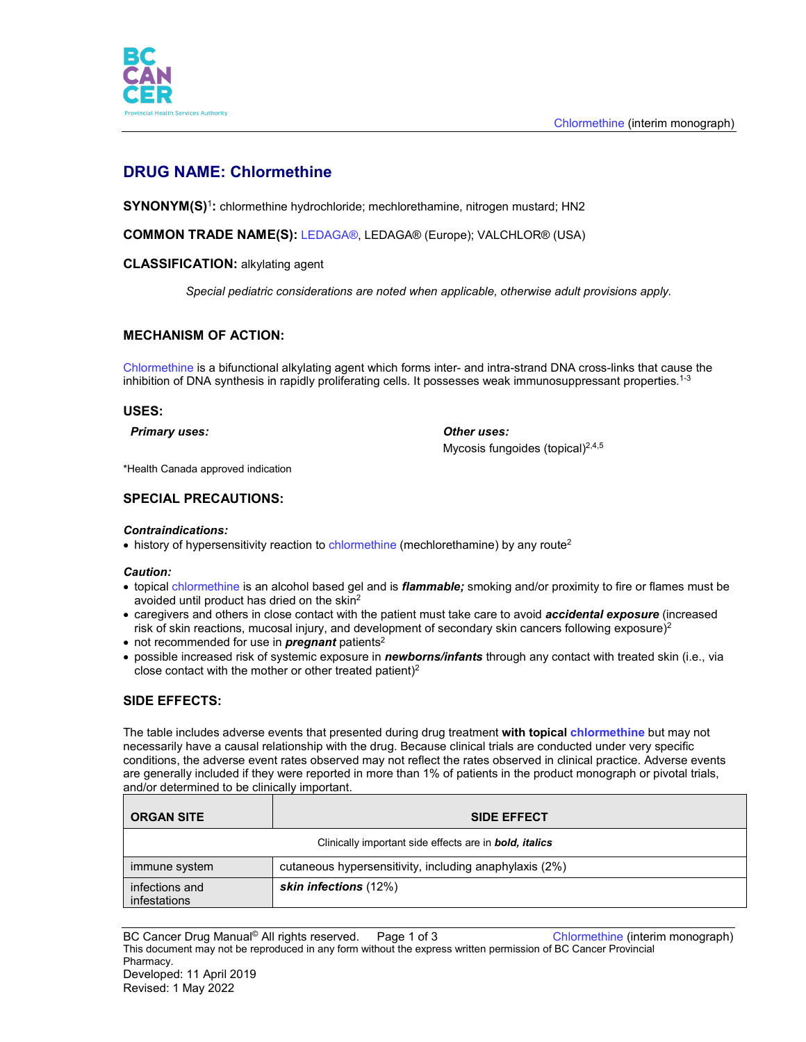

# **DRUG NAME: Chlormethine**

**SYNONYM(S)**<sup>1</sup>**:** chlormethine hydrochloride; mechlorethamine, nitrogen mustard; HN2

**COMMON TRADE NAME(S):** LEDAGA®, LEDAGA® (Europe); VALCHLOR® (USA)

#### **CLASSIFICATION:** alkylating agent

*Special pediatric considerations are noted when applicable, otherwise adult provisions apply.*

## **MECHANISM OF ACTION:**

Chlormethine is a bifunctional alkylating agent which forms inter- and intra-strand DNA cross-links that cause the inhibition of DNA synthesis in rapidly proliferating cells. It possesses weak immunosuppressant properties.<sup>1-3</sup>

#### **USES:**

*Primary uses: Other uses:*

Mycosis fungoides (topical)<sup>2,4,5</sup>

\*Health Canada approved indication

## **SPECIAL PRECAUTIONS:**

#### *Contraindications:*

• history of hypersensitivity reaction to chlormethine (mechlorethamine) by any route<sup>2</sup>

#### *Caution:*

- topical chlormethine is an alcohol based gel and is *flammable;* smoking and/or proximity to fire or flames must be avoided until product has dried on the skin2
- caregivers and others in close contact with the patient must take care to avoid *accidental exposure* (increased risk of skin reactions, mucosal injury, and development of secondary skin cancers following exposure)<sup>2</sup>
- not recommended for use in **pregnant** patients<sup>2</sup>
- possible increased risk of systemic exposure in *newborns/infants* through any contact with treated skin (i.e., via close contact with the mother or other treated patient) $2$

## **SIDE EFFECTS:**

The table includes adverse events that presented during drug treatment **with topical chlormethine** but may not necessarily have a causal relationship with the drug. Because clinical trials are conducted under very specific conditions, the adverse event rates observed may not reflect the rates observed in clinical practice. Adverse events are generally included if they were reported in more than 1% of patients in the product monograph or pivotal trials, and/or determined to be clinically important.

| <b>ORGAN SITE</b>                                             | <b>SIDE EFFECT</b>                                     |
|---------------------------------------------------------------|--------------------------------------------------------|
| Clinically important side effects are in <b>bold, italics</b> |                                                        |
| immune system                                                 | cutaneous hypersensitivity, including anaphylaxis (2%) |
| infections and<br>infestations                                | skin infections (12%)                                  |

BC Cancer Drug Manual<sup>®</sup> All rights reserved. Page 1 of 3 Chlormethine (interim monograph) This document may not be reproduced in any form without the express written permission of BC Cancer Provincial Pharmacy. Developed: 11 April 2019 Revised: 1 May 2022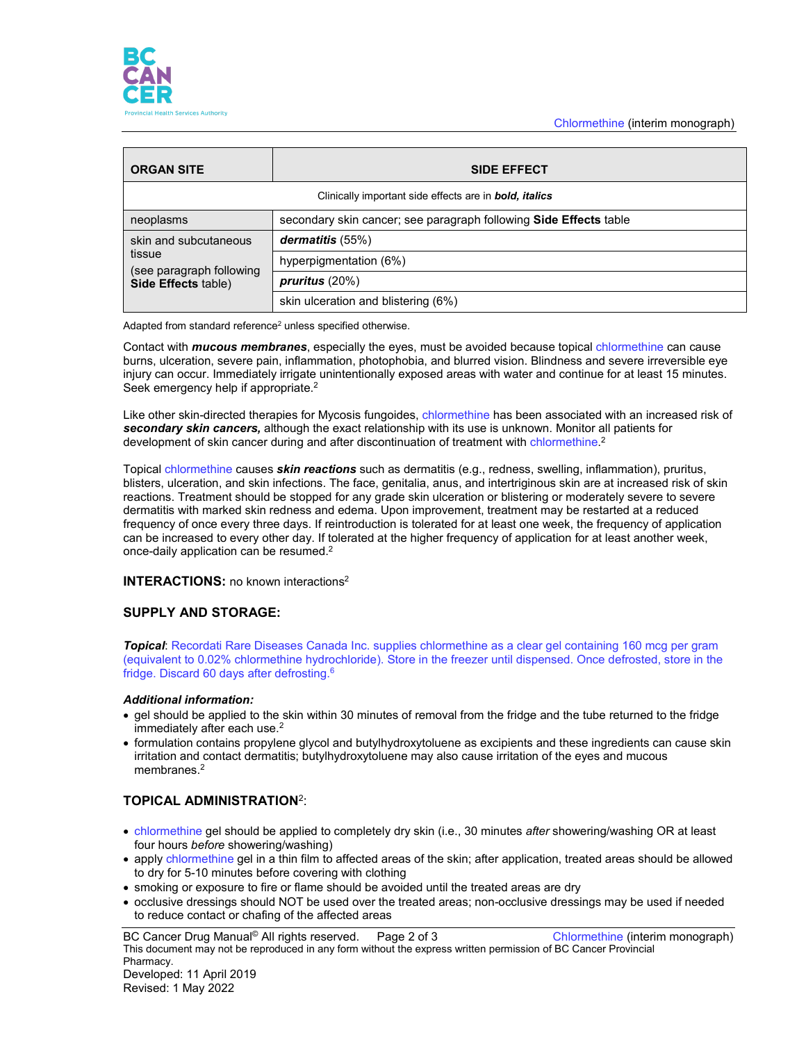

| <b>ORGAN SITE</b>                                                                  | <b>SIDE EFFECT</b>                                                |
|------------------------------------------------------------------------------------|-------------------------------------------------------------------|
| Clinically important side effects are in <b>bold</b> , <i>italics</i>              |                                                                   |
| neoplasms                                                                          | secondary skin cancer; see paragraph following Side Effects table |
| skin and subcutaneous<br>tissue<br>(see paragraph following<br>Side Effects table) | dermatitis (55%)                                                  |
|                                                                                    | hyperpigmentation (6%)                                            |
|                                                                                    | pruritus $(20%)$                                                  |
|                                                                                    | skin ulceration and blistering (6%)                               |

Adapted from standard reference<sup>2</sup> unless specified otherwise.

Contact with *mucous membranes*, especially the eyes, must be avoided because topical chlormethine can cause burns, ulceration, severe pain, inflammation, photophobia, and blurred vision. Blindness and severe irreversible eye injury can occur. Immediately irrigate unintentionally exposed areas with water and continue for at least 15 minutes. Seek emergency help if appropriate.<sup>2</sup>

Like other skin-directed therapies for Mycosis fungoides, chlormethine has been associated with an increased risk of *secondary skin cancers,* although the exact relationship with its use is unknown. Monitor all patients for development of skin cancer during and after discontinuation of treatment with chlormethine.<sup>2</sup>

Topical chlormethine causes *skin reactions* such as dermatitis (e.g., redness, swelling, inflammation), pruritus, blisters, ulceration, and skin infections. The face, genitalia, anus, and intertriginous skin are at increased risk of skin reactions. Treatment should be stopped for any grade skin ulceration or blistering or moderately severe to severe dermatitis with marked skin redness and edema. Upon improvement, treatment may be restarted at a reduced frequency of once every three days. If reintroduction is tolerated for at least one week, the frequency of application can be increased to every other day. If tolerated at the higher frequency of application for at least another week, once-daily application can be resumed.<sup>2</sup>

#### **INTERACTIONS:** no known interactions<sup>2</sup>

## **SUPPLY AND STORAGE:**

*Topical*: Recordati Rare Diseases Canada Inc. supplies chlormethine as a clear gel containing 160 mcg per gram (equivalent to 0.02% chlormethine hydrochloride). Store in the freezer until dispensed. Once defrosted, store in the fridge. Discard 60 days after defrosting.6

#### *Additional information:*

- gel should be applied to the skin within 30 minutes of removal from the fridge and the tube returned to the fridge immediately after each use.<sup>2</sup>
- formulation contains propylene glycol and butylhydroxytoluene as excipients and these ingredients can cause skin irritation and contact dermatitis; butylhydroxytoluene may also cause irritation of the eyes and mucous membranes.<sup>2</sup>

# **TOPICAL ADMINISTRATION**2:

- chlormethine gel should be applied to completely dry skin (i.e., 30 minutes *after* showering/washing OR at least four hours *before* showering/washing)
- apply chlormethine gel in a thin film to affected areas of the skin; after application, treated areas should be allowed to dry for 5-10 minutes before covering with clothing
- smoking or exposure to fire or flame should be avoided until the treated areas are dry
- occlusive dressings should NOT be used over the treated areas; non-occlusive dressings may be used if needed to reduce contact or chafing of the affected areas

BC Cancer Drug Manual<sup>©</sup> All rights reserved. Page 2 of 3 Chlormethine (interim monograph) This document may not be reproduced in any form without the express written permission of BC Cancer Provincial Pharmacy. Developed: 11 April 2019